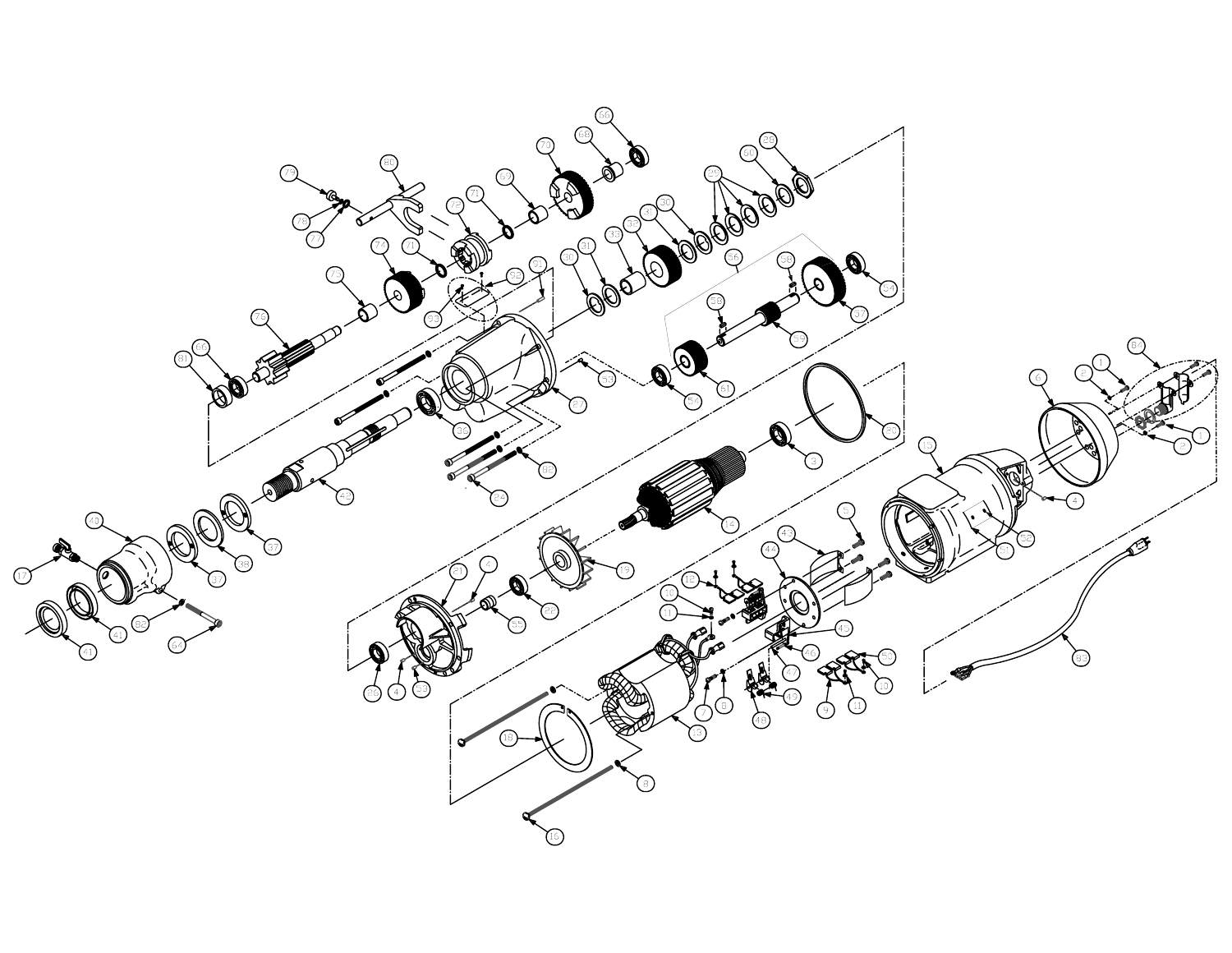